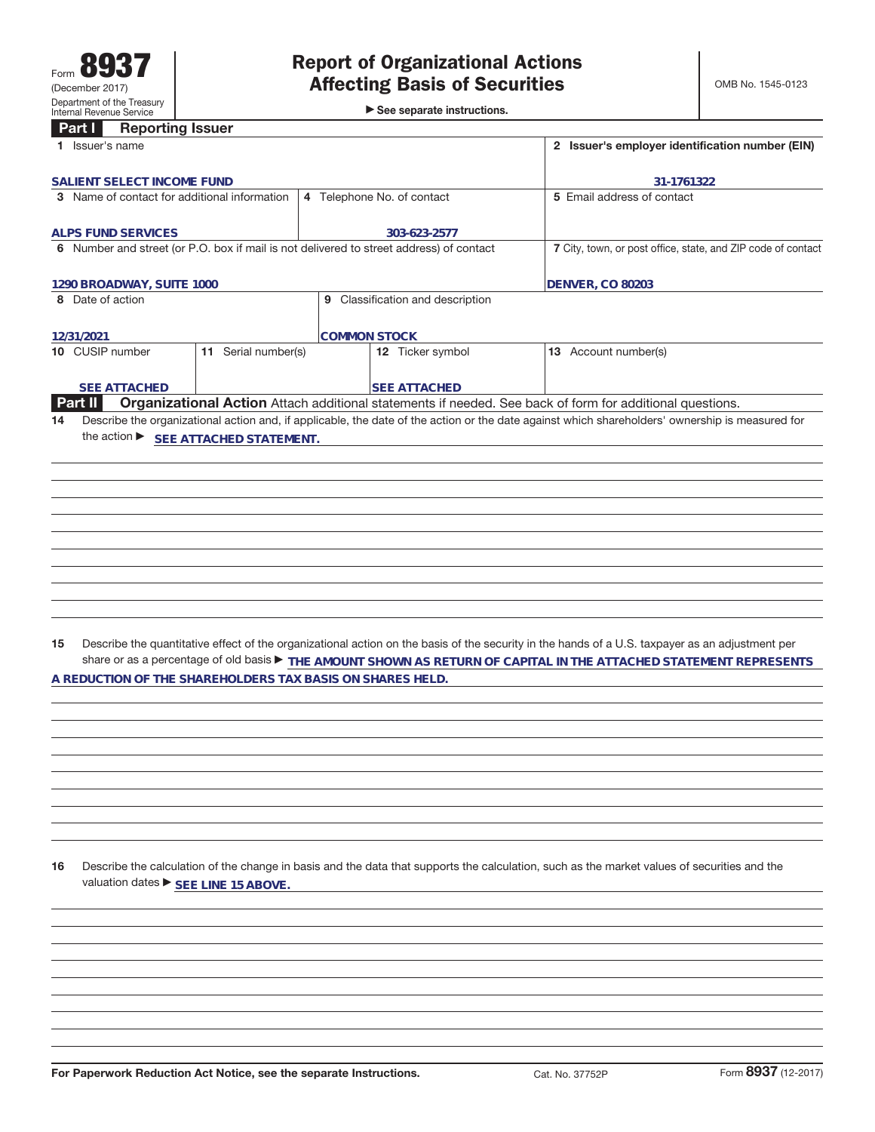►<br>► See separate instructions.

|    | <b>Reporting Issuer</b><br>Part I                         |                     |  |                                                                                         |                                                                                                                                                 |
|----|-----------------------------------------------------------|---------------------|--|-----------------------------------------------------------------------------------------|-------------------------------------------------------------------------------------------------------------------------------------------------|
|    | 1 Issuer's name                                           |                     |  | 2 Issuer's employer identification number (EIN)                                         |                                                                                                                                                 |
|    | SALIENT SELECT INCOME FUND                                |                     |  |                                                                                         | 31-1761322                                                                                                                                      |
|    | 3 Name of contact for additional information              |                     |  | 4 Telephone No. of contact                                                              | 5 Email address of contact                                                                                                                      |
|    |                                                           |                     |  |                                                                                         |                                                                                                                                                 |
|    | <b>ALPS FUND SERVICES</b>                                 |                     |  | 303-623-2577                                                                            |                                                                                                                                                 |
|    |                                                           |                     |  | 6 Number and street (or P.O. box if mail is not delivered to street address) of contact | 7 City, town, or post office, state, and ZIP code of contact                                                                                    |
|    | 1290 BROADWAY, SUITE 1000                                 |                     |  |                                                                                         | <b>DENVER, CO 80203</b>                                                                                                                         |
|    | 8 Date of action                                          |                     |  | 9 Classification and description                                                        |                                                                                                                                                 |
|    |                                                           |                     |  |                                                                                         |                                                                                                                                                 |
|    | 12/31/2021                                                |                     |  | <b>COMMON STOCK</b>                                                                     |                                                                                                                                                 |
|    | 10 CUSIP number                                           | 11 Serial number(s) |  | 12 Ticker symbol                                                                        | 13 Account number(s)                                                                                                                            |
|    |                                                           |                     |  |                                                                                         |                                                                                                                                                 |
|    | <b>SEE ATTACHED</b>                                       |                     |  | <b>SEE ATTACHED</b>                                                                     |                                                                                                                                                 |
|    | Part II                                                   |                     |  |                                                                                         | Organizational Action Attach additional statements if needed. See back of form for additional questions.                                        |
| 14 |                                                           |                     |  |                                                                                         | Describe the organizational action and, if applicable, the date of the action or the date against which shareholders' ownership is measured for |
|    | the action ▶ SEE ATTACHED STATEMENT.                      |                     |  |                                                                                         |                                                                                                                                                 |
|    |                                                           |                     |  |                                                                                         |                                                                                                                                                 |
|    |                                                           |                     |  |                                                                                         |                                                                                                                                                 |
|    |                                                           |                     |  |                                                                                         |                                                                                                                                                 |
|    |                                                           |                     |  |                                                                                         |                                                                                                                                                 |
|    |                                                           |                     |  |                                                                                         |                                                                                                                                                 |
|    |                                                           |                     |  |                                                                                         |                                                                                                                                                 |
|    |                                                           |                     |  |                                                                                         |                                                                                                                                                 |
|    |                                                           |                     |  |                                                                                         |                                                                                                                                                 |
|    |                                                           |                     |  |                                                                                         |                                                                                                                                                 |
|    |                                                           |                     |  |                                                                                         |                                                                                                                                                 |
|    |                                                           |                     |  |                                                                                         |                                                                                                                                                 |
| 15 |                                                           |                     |  |                                                                                         | Describe the quantitative effect of the organizational action on the basis of the security in the hands of a U.S. taxpayer as an adjustment per |
|    |                                                           |                     |  |                                                                                         | share or as a percentage of old basis FHE AMOUNT SHOWN AS RETURN OF CAPITAL IN THE ATTACHED STATEMENT REPRESENTS                                |
|    | A REDUCTION OF THE SHAREHOLDERS TAX BASIS ON SHARES HELD. |                     |  |                                                                                         |                                                                                                                                                 |
|    |                                                           |                     |  |                                                                                         |                                                                                                                                                 |
|    |                                                           |                     |  |                                                                                         |                                                                                                                                                 |
|    |                                                           |                     |  |                                                                                         |                                                                                                                                                 |
|    |                                                           |                     |  |                                                                                         |                                                                                                                                                 |
|    |                                                           |                     |  |                                                                                         |                                                                                                                                                 |

**16** Describe the calculation of the change in basis and the data that supports the calculation, such as the market values of securities and the valuation dates  $\blacktriangleright$  **SEE LINE 15 ABOVE.** 

**For Paperwork Reduction Act Notice, see the separate Instructions.** Cat. No. 37752P Form 8937 (12-2017)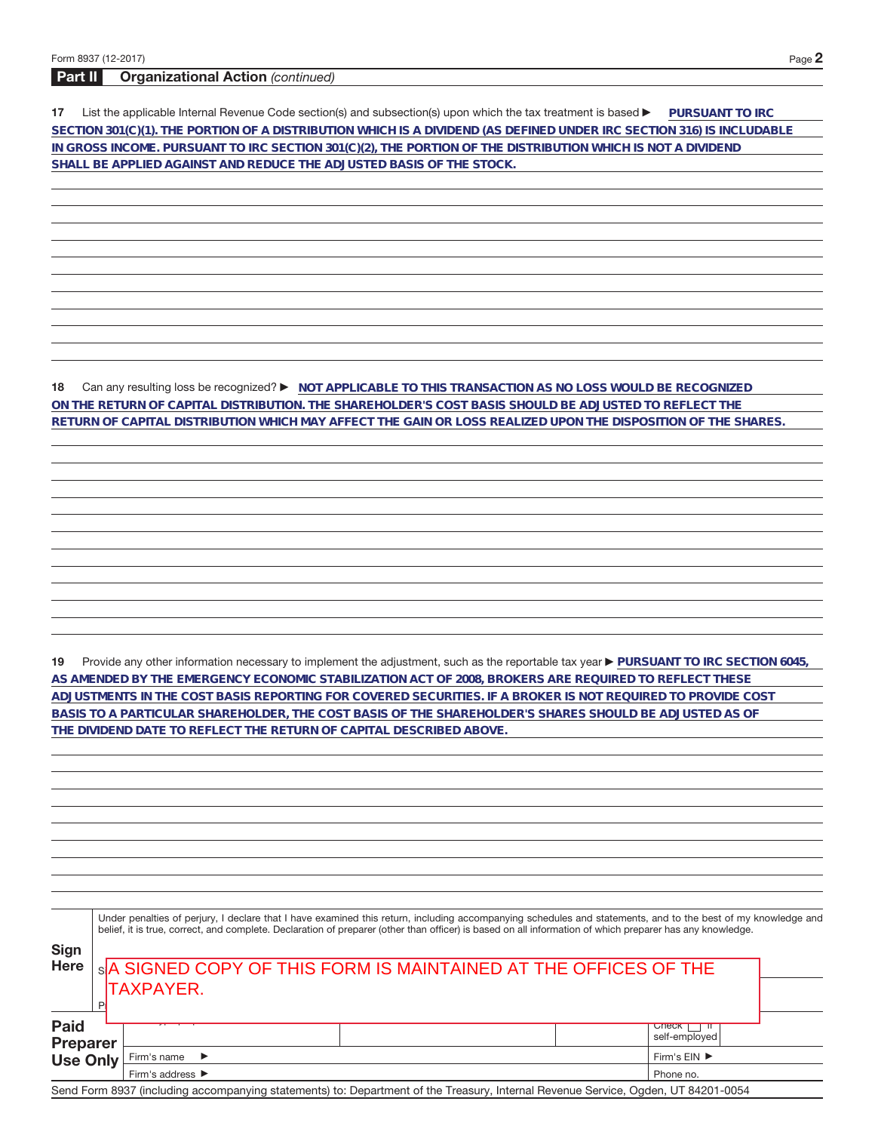## **Part II Organizational Action** (continued)

**17** List the applicable Internal Revenue Code section(s) and subsection(s) upon which the tax treatment is based **DuRSUANT TO IRC SECTION 301(C)(1). THE PORTION OF A DISTRIBUTION WHICH IS A DIVIDEND (AS DEFINED UNDER IRC SECTION 316) IS INCLUDABLE IN GROSS INCOME. PURSUANT TO IRC SECTION 301(C)(2), THE PORTION OF THE DISTRIBUTION WHICH IS NOT A DIVIDEND SHALL BE APPLIED AGAINST AND REDUCE THE ADJUSTED BASIS OF THE STOCK.**

**18** Can any resulting loss be recognized? ▶ NOT APPLICABLE TO THIS TRANSACTION AS NO LOSS WOULD BE RECOGNIZED **ON THE RETURN OF CAPITAL DISTRIBUTION. THE SHAREHOLDER'S COST BASIS SHOULD BE ADJUSTED TO REFLECT THE RETURN OF CAPITAL DISTRIBUTION WHICH MAY AFFECT THE GAIN OR LOSS REALIZED UPON THE DISPOSITION OF THE SHARES.**

19 Provide any other information necessary to implement the adjustment, such as the reportable tax year **PURSUANT TO IRC SECTION 6045**, **AS AMENDED BY THE EMERGENCY ECONOMIC STABILIZATION ACT OF 2008, BROKERS ARE REQUIRED TO REFLECT THESE ADJUSTMENTS IN THE COST BASIS REPORTING FOR COVERED SECURITIES. IF A BROKER IS NOT REQUIRED TO PROVIDE COST BASIS TO A PARTICULAR SHAREHOLDER, THE COST BASIS OF THE SHAREHOLDER'S SHARES SHOULD BE ADJUSTED AS OF THE DIVIDEND DATE TO REFLECT THE RETURN OF CAPITAL DESCRIBED ABOVE.**

| <b>Sign</b><br><b>Here</b>     | Under penalties of perjury, I declare that I have examined this return, including accompanying schedules and statements, and to the best of my knowledge and<br>belief, it is true, correct, and complete. Declaration of preparer (other than officer) is based on all information of which preparer has any knowledge.<br>SA SIGNED COPY OF THIS FORM IS MAINTAINED AT THE OFFICES OF THE<br><b>TAXPAYER.</b> |                                                                                                                                   |           |                               |  |  |
|--------------------------------|-----------------------------------------------------------------------------------------------------------------------------------------------------------------------------------------------------------------------------------------------------------------------------------------------------------------------------------------------------------------------------------------------------------------|-----------------------------------------------------------------------------------------------------------------------------------|-----------|-------------------------------|--|--|
| <b>Paid</b><br><b>Preparer</b> |                                                                                                                                                                                                                                                                                                                                                                                                                 |                                                                                                                                   |           | <b>Uneck</b><br>self-employed |  |  |
| <b>Use Only</b>                |                                                                                                                                                                                                                                                                                                                                                                                                                 | Firm's name<br>$\rightarrow$                                                                                                      |           | Firm's EIN ▶                  |  |  |
|                                |                                                                                                                                                                                                                                                                                                                                                                                                                 | Firm's address $\blacktriangleright$                                                                                              | Phone no. |                               |  |  |
|                                |                                                                                                                                                                                                                                                                                                                                                                                                                 | Send Form 8937 (including accompanying statements) to: Department of the Treasury, Internal Revenue Service, Ogden, UT 84201-0054 |           |                               |  |  |